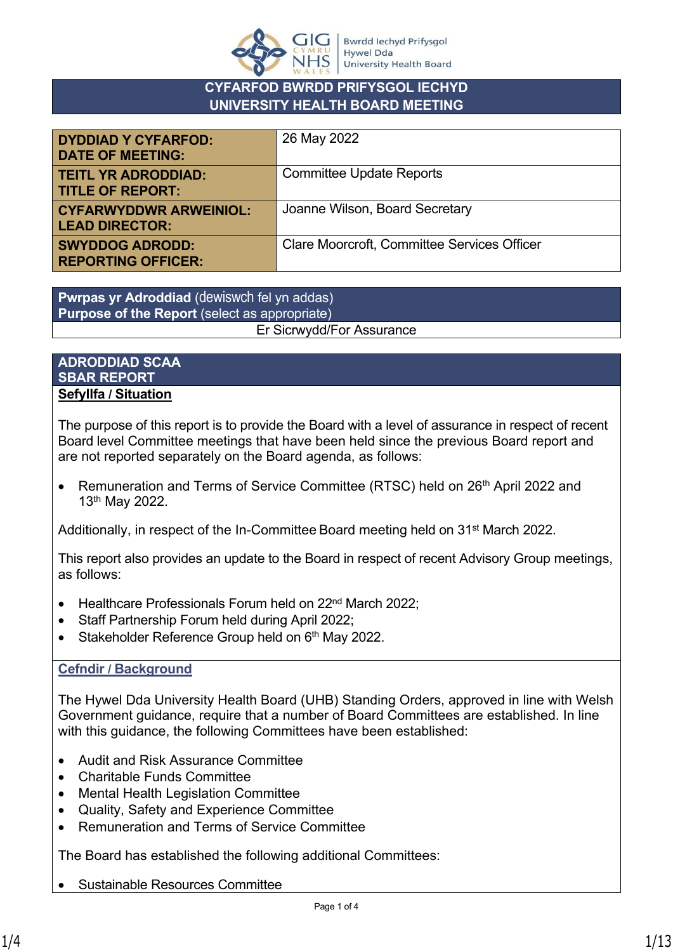

# **CYFARFOD BWRDD PRIFYSGOL IECHYD UNIVERSITY HEALTH BOARD MEETING**

| <b>DYDDIAD Y CYFARFOD:</b><br><b>DATE OF MEETING:</b>  | 26 May 2022                                        |
|--------------------------------------------------------|----------------------------------------------------|
| <b>TEITL YR ADRODDIAD:</b><br><b>TITLE OF REPORT:</b>  | <b>Committee Update Reports</b>                    |
| <b>CYFARWYDDWR ARWEINIOL:</b><br><b>LEAD DIRECTOR:</b> | Joanne Wilson, Board Secretary                     |
| <b>SWYDDOG ADRODD:</b><br><b>REPORTING OFFICER:</b>    | <b>Clare Moorcroft, Committee Services Officer</b> |

**Pwrpas yr Adroddiad** (dewiswch fel yn addas) **Purpose of the Report** (select as appropriate) Er Sicrwydd/For Assurance

### **ADRODDIAD SCAA SBAR REPORT Sefyllfa / Situation**

The purpose of this report is to provide the Board with a level of assurance in respect of recent Board level Committee meetings that have been held since the previous Board report and are not reported separately on the Board agenda, as follows:

• Remuneration and Terms of Service Committee (RTSC) held on 26<sup>th</sup> April 2022 and 13th May 2022.

Additionally, in respect of the In-Committee Board meeting held on 31<sup>st</sup> March 2022.

This report also provides an update to the Board in respect of recent Advisory Group meetings, as follows:

- Healthcare Professionals Forum held on 22<sup>nd</sup> March 2022;
- Staff Partnership Forum held during April 2022;
- Stakeholder Reference Group held on 6<sup>th</sup> May 2022.

# **Cefndir / Background**

The Hywel Dda University Health Board (UHB) Standing Orders, approved in line with Welsh Government guidance, require that a number of Board Committees are established. In line with this guidance, the following Committees have been established:

- Audit and Risk Assurance Committee
- Charitable Funds Committee
- Mental Health Legislation Committee
- Quality, Safety and Experience Committee
- Remuneration and Terms of Service Committee

The Board has established the following additional Committees:

• Sustainable Resources Committee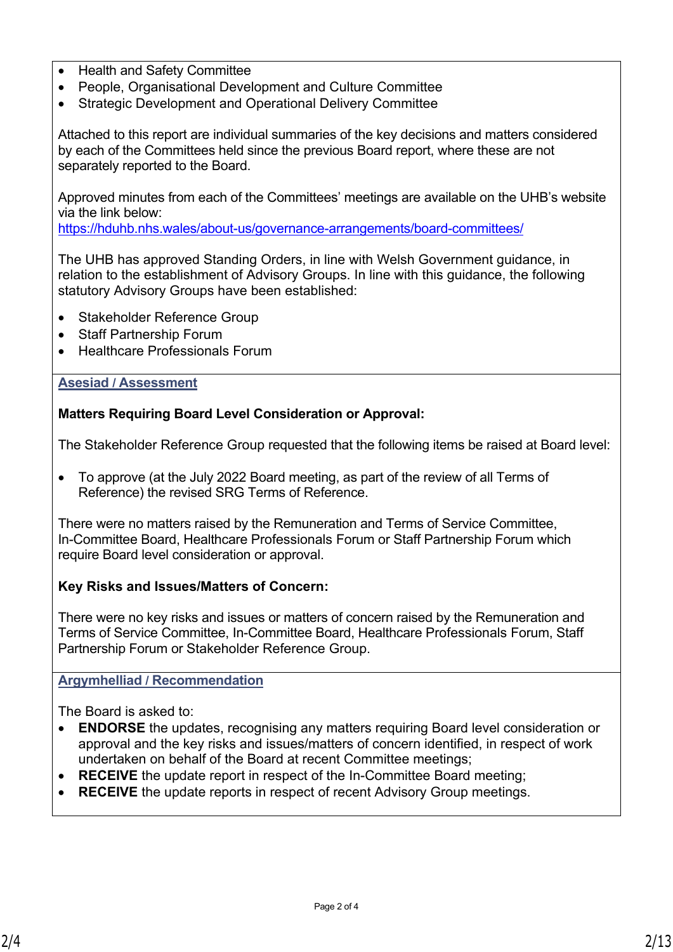- Health and Safety Committee
- People, Organisational Development and Culture Committee
- Strategic Development and Operational Delivery Committee

Attached to this report are individual summaries of the key decisions and matters considered by each of the Committees held since the previous Board report, where these are not separately reported to the Board.

Approved minutes from each of the Committees' meetings are available on the UHB's website via the link below:

<https://hduhb.nhs.wales/about-us/governance-arrangements/board-committees/>

The UHB has approved Standing Orders, in line with Welsh Government guidance, in relation to the establishment of Advisory Groups. In line with this guidance, the following statutory Advisory Groups have been established:

- Stakeholder Reference Group
- Staff Partnership Forum
- Healthcare Professionals Forum

#### **Asesiad / Assessment**

**Matters Requiring Board Level Consideration or Approval:**

The Stakeholder Reference Group requested that the following items be raised at Board level:

• To approve (at the July 2022 Board meeting, as part of the review of all Terms of Reference) the revised SRG Terms of Reference.

There were no matters raised by the Remuneration and Terms of Service Committee, In-Committee Board, Healthcare Professionals Forum or Staff Partnership Forum which require Board level consideration or approval.

### **Key Risks and Issues/Matters of Concern:**

There were no key risks and issues or matters of concern raised by the Remuneration and Terms of Service Committee, In-Committee Board, Healthcare Professionals Forum, Staff Partnership Forum or Stakeholder Reference Group.

### **Argymhelliad / Recommendation**

The Board is asked to:

- **ENDORSE** the updates, recognising any matters requiring Board level consideration or approval and the key risks and issues/matters of concern identified, in respect of work undertaken on behalf of the Board at recent Committee meetings;
- **RECEIVE** the update report in respect of the In-Committee Board meeting;
- **RECEIVE** the update reports in respect of recent Advisory Group meetings.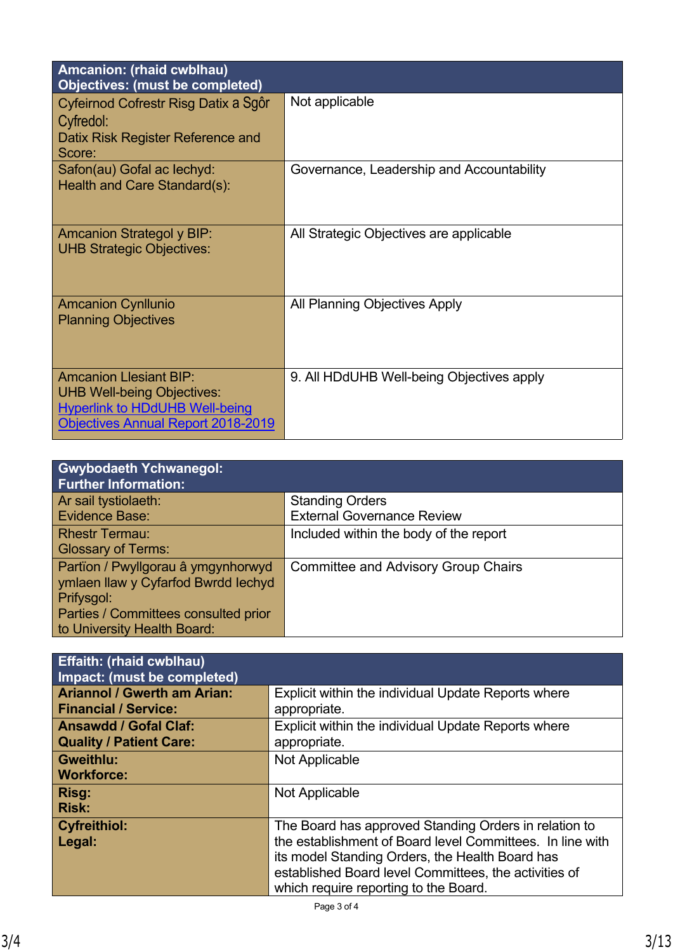| <b>Amcanion: (rhaid cwblhau)</b><br><b>Objectives: (must be completed)</b>                                                                               |                                           |
|----------------------------------------------------------------------------------------------------------------------------------------------------------|-------------------------------------------|
| Cyfeirnod Cofrestr Risg Datix a Sqôr<br>Cyfredol:<br>Datix Risk Register Reference and<br>Score:                                                         | Not applicable                            |
| Safon(au) Gofal ac lechyd:<br>Health and Care Standard(s):                                                                                               | Governance, Leadership and Accountability |
| <b>Amcanion Strategol y BIP:</b><br><b>UHB Strategic Objectives:</b>                                                                                     | All Strategic Objectives are applicable   |
| <b>Amcanion Cynllunio</b><br><b>Planning Objectives</b>                                                                                                  | All Planning Objectives Apply             |
| <b>Amcanion Llesiant BIP:</b><br><b>UHB Well-being Objectives:</b><br><b>Hyperlink to HDdUHB Well-being</b><br><b>Objectives Annual Report 2018-2019</b> | 9. All HDdUHB Well-being Objectives apply |

| <b>Gwybodaeth Ychwanegol:</b><br><b>Further Information:</b> |                                            |
|--------------------------------------------------------------|--------------------------------------------|
| Ar sail tystiolaeth:                                         | <b>Standing Orders</b>                     |
| Evidence Base:                                               | <b>External Governance Review</b>          |
| <b>Rhestr Termau:</b>                                        | Included within the body of the report     |
| <b>Glossary of Terms:</b>                                    |                                            |
| Partïon / Pwyllgorau â ymgynhorwyd                           | <b>Committee and Advisory Group Chairs</b> |
| ymlaen llaw y Cyfarfod Bwrdd Iechyd                          |                                            |
| Prifysgol:                                                   |                                            |
| Parties / Committees consulted prior                         |                                            |
| to University Health Board:                                  |                                            |

| <b>Effaith: (rhaid cwblhau)</b><br>Impact: (must be completed)    |                                                                                                                                                                                                                                                                         |
|-------------------------------------------------------------------|-------------------------------------------------------------------------------------------------------------------------------------------------------------------------------------------------------------------------------------------------------------------------|
| <b>Ariannol / Gwerth am Arian:</b><br><b>Financial / Service:</b> | Explicit within the individual Update Reports where<br>appropriate.                                                                                                                                                                                                     |
| <b>Ansawdd / Gofal Claf:</b><br><b>Quality / Patient Care:</b>    | Explicit within the individual Update Reports where<br>appropriate.                                                                                                                                                                                                     |
| <b>Gweithlu:</b><br><b>Workforce:</b>                             | Not Applicable                                                                                                                                                                                                                                                          |
| Risg:<br><b>Risk:</b>                                             | Not Applicable                                                                                                                                                                                                                                                          |
| <b>Cyfreithiol:</b><br>Legal:                                     | The Board has approved Standing Orders in relation to<br>the establishment of Board level Committees. In line with<br>its model Standing Orders, the Health Board has<br>established Board level Committees, the activities of<br>which require reporting to the Board. |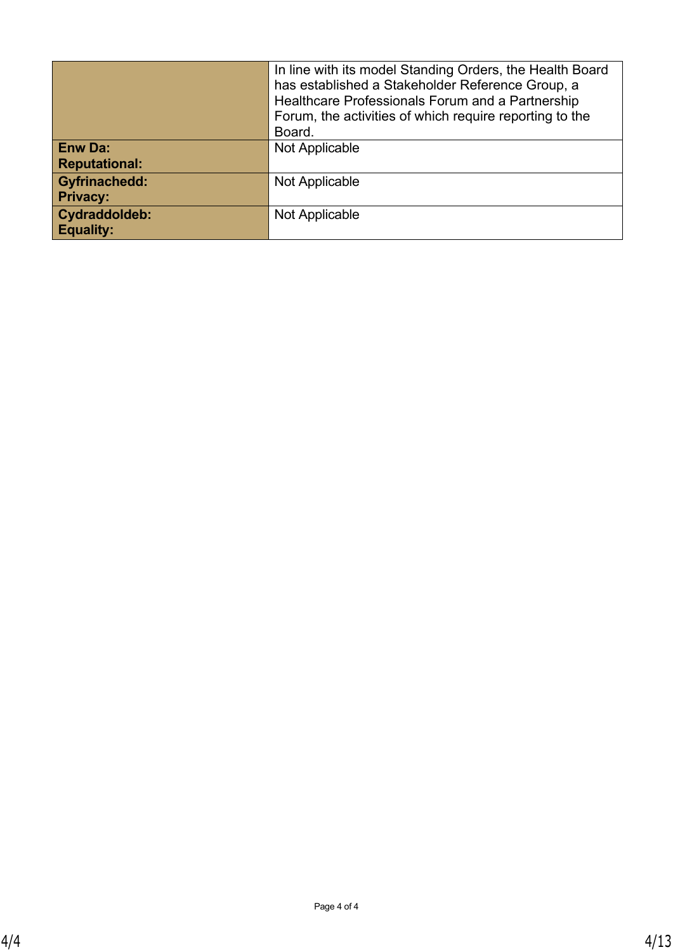|                      | In line with its model Standing Orders, the Health Board<br>has established a Stakeholder Reference Group, a<br>Healthcare Professionals Forum and a Partnership<br>Forum, the activities of which require reporting to the<br>Board. |
|----------------------|---------------------------------------------------------------------------------------------------------------------------------------------------------------------------------------------------------------------------------------|
| <b>Enw Da:</b>       | Not Applicable                                                                                                                                                                                                                        |
| <b>Reputational:</b> |                                                                                                                                                                                                                                       |
| <b>Gyfrinachedd:</b> | Not Applicable                                                                                                                                                                                                                        |
| <b>Privacy:</b>      |                                                                                                                                                                                                                                       |
| <b>Cydraddoldeb:</b> | Not Applicable                                                                                                                                                                                                                        |
| <b>Equality:</b>     |                                                                                                                                                                                                                                       |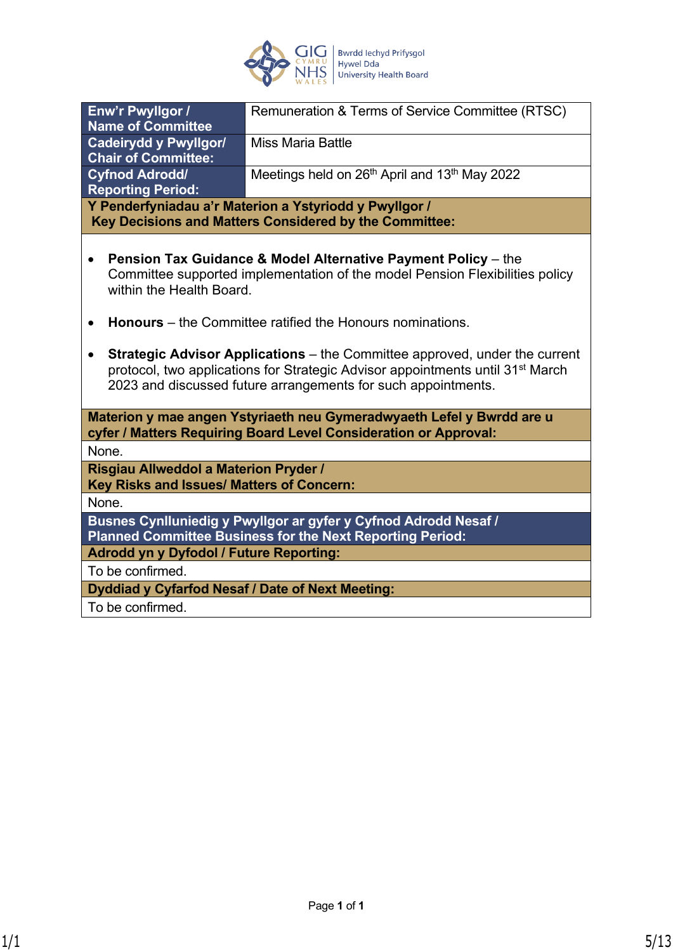

| Enw'r Pwyllgor /<br><b>Name of Committee</b>                                                                                                                                                                                                                  | Remuneration & Terms of Service Committee (RTSC)                                                                                                                                                                             |
|---------------------------------------------------------------------------------------------------------------------------------------------------------------------------------------------------------------------------------------------------------------|------------------------------------------------------------------------------------------------------------------------------------------------------------------------------------------------------------------------------|
| <b>Cadeirydd y Pwyllgor/</b><br><b>Chair of Committee:</b>                                                                                                                                                                                                    | <b>Miss Maria Battle</b>                                                                                                                                                                                                     |
| <b>Cyfnod Adrodd/</b><br><b>Reporting Period:</b>                                                                                                                                                                                                             | Meetings held on 26 <sup>th</sup> April and 13 <sup>th</sup> May 2022                                                                                                                                                        |
|                                                                                                                                                                                                                                                               | Y Penderfyniadau a'r Materion a Ystyriodd y Pwyllgor /<br>Key Decisions and Matters Considered by the Committee:                                                                                                             |
| $\bullet$<br>within the Health Board.<br>$\bullet$                                                                                                                                                                                                            | <b>Pension Tax Guidance &amp; Model Alternative Payment Policy</b> – the<br>Committee supported implementation of the model Pension Flexibilities policy<br><b>Honours</b> – the Committee ratified the Honours nominations. |
| <b>Strategic Advisor Applications</b> – the Committee approved, under the current<br>$\bullet$<br>protocol, two applications for Strategic Advisor appointments until 31 <sup>st</sup> March<br>2023 and discussed future arrangements for such appointments. |                                                                                                                                                                                                                              |
|                                                                                                                                                                                                                                                               | Materion y mae angen Ystyriaeth neu Gymeradwyaeth Lefel y Bwrdd are u<br>cyfer / Matters Requiring Board Level Consideration or Approval:                                                                                    |
| None.                                                                                                                                                                                                                                                         |                                                                                                                                                                                                                              |
| Risgiau Allweddol a Materion Pryder /<br>Key Risks and Issues/ Matters of Concern:                                                                                                                                                                            |                                                                                                                                                                                                                              |
| None.                                                                                                                                                                                                                                                         |                                                                                                                                                                                                                              |
|                                                                                                                                                                                                                                                               | Busnes Cynlluniedig y Pwyllgor ar gyfer y Cyfnod Adrodd Nesaf /<br><b>Planned Committee Business for the Next Reporting Period:</b>                                                                                          |
| <b>Adrodd yn y Dyfodol / Future Reporting:</b>                                                                                                                                                                                                                |                                                                                                                                                                                                                              |
| To be confirmed.                                                                                                                                                                                                                                              |                                                                                                                                                                                                                              |
| Dyddiad y Cyfarfod Nesaf / Date of Next Meeting:                                                                                                                                                                                                              |                                                                                                                                                                                                                              |
| To be confirmed.                                                                                                                                                                                                                                              |                                                                                                                                                                                                                              |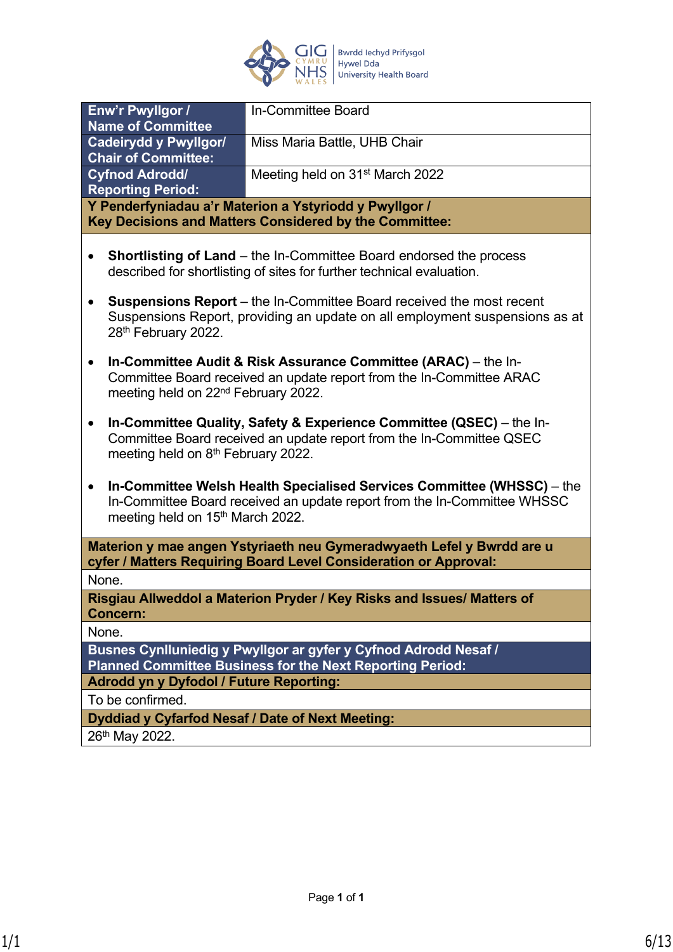

| Enw'r Pwyllgor /<br><b>Name of Committee</b>                                                                                                                                                                | In-Committee Board                                                                                                                                         |
|-------------------------------------------------------------------------------------------------------------------------------------------------------------------------------------------------------------|------------------------------------------------------------------------------------------------------------------------------------------------------------|
| <b>Cadeirydd y Pwyllgor/</b>                                                                                                                                                                                | Miss Maria Battle, UHB Chair                                                                                                                               |
| <b>Chair of Committee:</b>                                                                                                                                                                                  |                                                                                                                                                            |
| <b>Cyfnod Adrodd/</b>                                                                                                                                                                                       | Meeting held on 31 <sup>st</sup> March 2022                                                                                                                |
| <b>Reporting Period:</b>                                                                                                                                                                                    |                                                                                                                                                            |
|                                                                                                                                                                                                             | Y Penderfyniadau a'r Materion a Ystyriodd y Pwyllgor /                                                                                                     |
|                                                                                                                                                                                                             | Key Decisions and Matters Considered by the Committee:                                                                                                     |
|                                                                                                                                                                                                             | <b>Shortlisting of Land</b> – the In-Committee Board endorsed the process<br>described for shortlisting of sites for further technical evaluation.         |
| 28th February 2022.                                                                                                                                                                                         | <b>Suspensions Report</b> – the In-Committee Board received the most recent<br>Suspensions Report, providing an update on all employment suspensions as at |
| In-Committee Audit & Risk Assurance Committee (ARAC) – the In-<br>Committee Board received an update report from the In-Committee ARAC<br>meeting held on 22 <sup>nd</sup> February 2022.                   |                                                                                                                                                            |
| In-Committee Quality, Safety & Experience Committee (QSEC) - the In-<br>$\bullet$<br>Committee Board received an update report from the In-Committee QSEC<br>meeting held on 8 <sup>th</sup> February 2022. |                                                                                                                                                            |
| In-Committee Welsh Health Specialised Services Committee (WHSSC) – the<br>In-Committee Board received an update report from the In-Committee WHSSC<br>meeting held on 15 <sup>th</sup> March 2022.          |                                                                                                                                                            |
|                                                                                                                                                                                                             | Materion y mae angen Ystyriaeth neu Gymeradwyaeth Lefel y Bwrdd are u<br>cyfer / Matters Requiring Board Level Consideration or Approval:                  |
| None.                                                                                                                                                                                                       |                                                                                                                                                            |
| <b>Concern:</b>                                                                                                                                                                                             | Risgiau Allweddol a Materion Pryder / Key Risks and Issues/ Matters of                                                                                     |
| None.                                                                                                                                                                                                       |                                                                                                                                                            |
| Busnes Cynlluniedig y Pwyllgor ar gyfer y Cyfnod Adrodd Nesaf /<br><b>Planned Committee Business for the Next Reporting Period:</b>                                                                         |                                                                                                                                                            |
| <b>Adrodd yn y Dyfodol / Future Reporting:</b>                                                                                                                                                              |                                                                                                                                                            |
| To be confirmed.                                                                                                                                                                                            |                                                                                                                                                            |
| Dyddiad y Cyfarfod Nesaf / Date of Next Meeting:                                                                                                                                                            |                                                                                                                                                            |
| 26th May 2022.                                                                                                                                                                                              |                                                                                                                                                            |
|                                                                                                                                                                                                             |                                                                                                                                                            |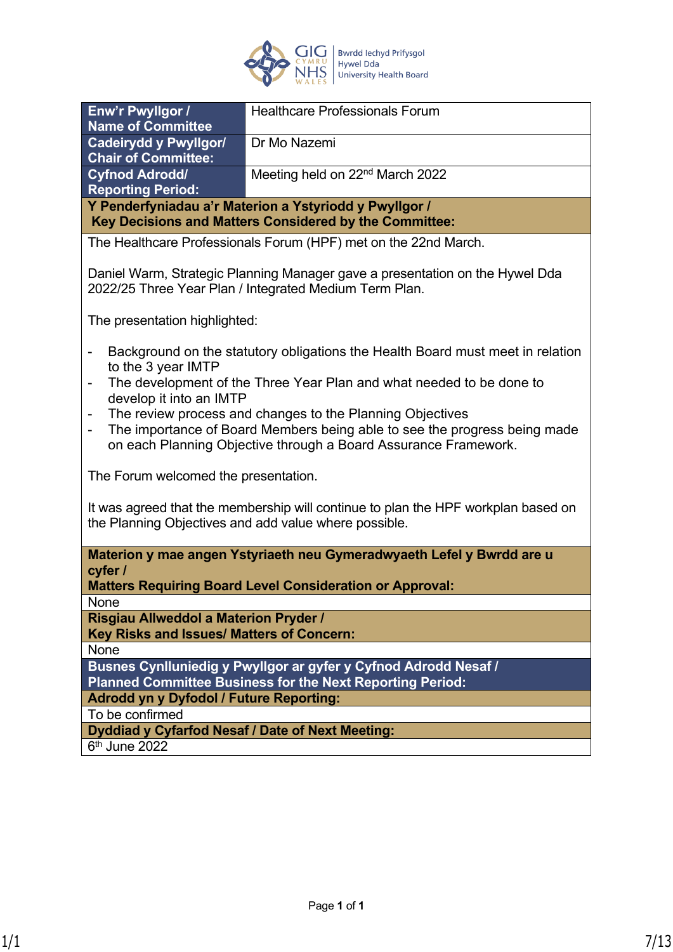

| Enw'r Pwyllgor /<br><b>Name of Committee</b>                                                                                                                                                                                                                                                                                                                                                                                                                                                      | <b>Healthcare Professionals Forum</b>                                 |
|---------------------------------------------------------------------------------------------------------------------------------------------------------------------------------------------------------------------------------------------------------------------------------------------------------------------------------------------------------------------------------------------------------------------------------------------------------------------------------------------------|-----------------------------------------------------------------------|
|                                                                                                                                                                                                                                                                                                                                                                                                                                                                                                   |                                                                       |
| <b>Cadeirydd y Pwyllgor/</b><br><b>Chair of Committee:</b>                                                                                                                                                                                                                                                                                                                                                                                                                                        | Dr Mo Nazemi                                                          |
| <b>Cyfnod Adrodd/</b>                                                                                                                                                                                                                                                                                                                                                                                                                                                                             | Meeting held on 22 <sup>nd</sup> March 2022                           |
| <b>Reporting Period:</b>                                                                                                                                                                                                                                                                                                                                                                                                                                                                          |                                                                       |
|                                                                                                                                                                                                                                                                                                                                                                                                                                                                                                   | Y Penderfyniadau a'r Materion a Ystyriodd y Pwyllgor /                |
|                                                                                                                                                                                                                                                                                                                                                                                                                                                                                                   | Key Decisions and Matters Considered by the Committee:                |
|                                                                                                                                                                                                                                                                                                                                                                                                                                                                                                   | The Healthcare Professionals Forum (HPF) met on the 22nd March.       |
| Daniel Warm, Strategic Planning Manager gave a presentation on the Hywel Dda<br>2022/25 Three Year Plan / Integrated Medium Term Plan.                                                                                                                                                                                                                                                                                                                                                            |                                                                       |
| The presentation highlighted:                                                                                                                                                                                                                                                                                                                                                                                                                                                                     |                                                                       |
| Background on the statutory obligations the Health Board must meet in relation<br>to the 3 year IMTP<br>The development of the Three Year Plan and what needed to be done to<br>-<br>develop it into an IMTP<br>The review process and changes to the Planning Objectives<br>The importance of Board Members being able to see the progress being made<br>$\qquad \qquad \blacksquare$<br>on each Planning Objective through a Board Assurance Framework.<br>The Forum welcomed the presentation. |                                                                       |
| It was agreed that the membership will continue to plan the HPF workplan based on<br>the Planning Objectives and add value where possible.                                                                                                                                                                                                                                                                                                                                                        |                                                                       |
|                                                                                                                                                                                                                                                                                                                                                                                                                                                                                                   | Materion y mae angen Ystyriaeth neu Gymeradwyaeth Lefel y Bwrdd are u |
| cyfer /                                                                                                                                                                                                                                                                                                                                                                                                                                                                                           |                                                                       |
|                                                                                                                                                                                                                                                                                                                                                                                                                                                                                                   | <b>Matters Requiring Board Level Consideration or Approval:</b>       |
| None                                                                                                                                                                                                                                                                                                                                                                                                                                                                                              |                                                                       |
| <b>Risgiau Allweddol a Materion Pryder /</b>                                                                                                                                                                                                                                                                                                                                                                                                                                                      |                                                                       |
| Key Risks and Issues/ Matters of Concern:                                                                                                                                                                                                                                                                                                                                                                                                                                                         |                                                                       |
| None                                                                                                                                                                                                                                                                                                                                                                                                                                                                                              |                                                                       |
|                                                                                                                                                                                                                                                                                                                                                                                                                                                                                                   | Busnes Cynlluniedig y Pwyllgor ar gyfer y Cyfnod Adrodd Nesaf /       |
| <b>Planned Committee Business for the Next Reporting Period:</b>                                                                                                                                                                                                                                                                                                                                                                                                                                  |                                                                       |
| <b>Adrodd yn y Dyfodol / Future Reporting:</b>                                                                                                                                                                                                                                                                                                                                                                                                                                                    |                                                                       |
| To be confirmed                                                                                                                                                                                                                                                                                                                                                                                                                                                                                   |                                                                       |
| Dyddiad y Cyfarfod Nesaf / Date of Next Meeting:                                                                                                                                                                                                                                                                                                                                                                                                                                                  |                                                                       |
| 6 <sup>th</sup> June 2022                                                                                                                                                                                                                                                                                                                                                                                                                                                                         |                                                                       |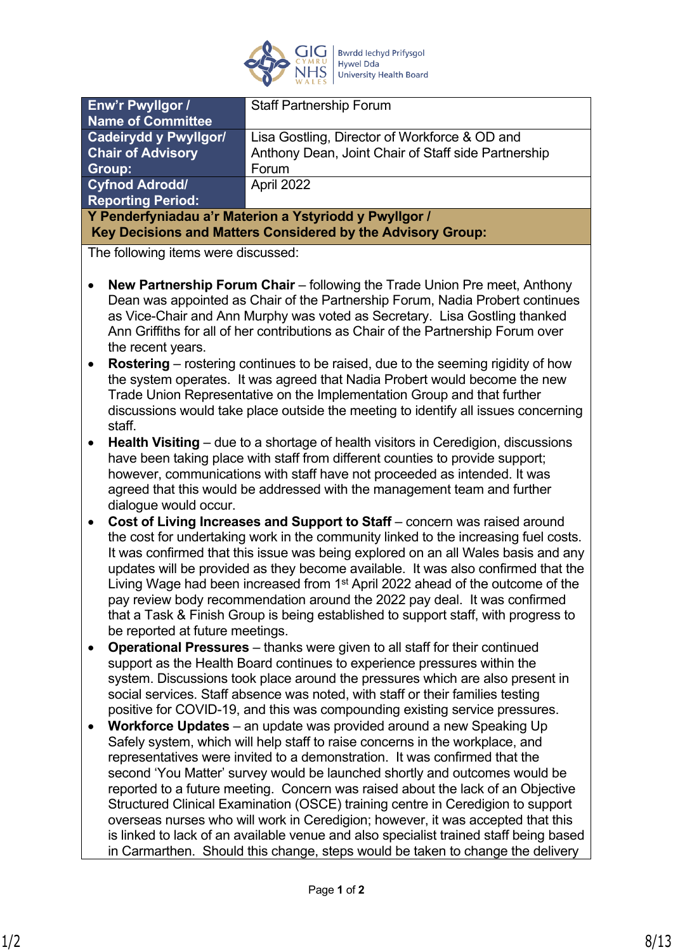

| Enw'r Pwyllgor /                                                                  | <b>Staff Partnership Forum</b>                                                          |
|-----------------------------------------------------------------------------------|-----------------------------------------------------------------------------------------|
| <b>Name of Committee</b>                                                          |                                                                                         |
| <b>Cadeirydd y Pwyllgor/</b>                                                      | Lisa Gostling, Director of Workforce & OD and                                           |
| <b>Chair of Advisory</b>                                                          | Anthony Dean, Joint Chair of Staff side Partnership                                     |
| <b>Group:</b>                                                                     | Forum                                                                                   |
| <b>Cyfnod Adrodd/</b>                                                             | April 2022                                                                              |
| <b>Reporting Period:</b>                                                          |                                                                                         |
| Y Penderfyniadau a'r Materion a Ystyriodd y Pwyllgor /                            |                                                                                         |
|                                                                                   | Key Decisions and Matters Considered by the Advisory Group:                             |
| The following items were discussed:                                               |                                                                                         |
|                                                                                   |                                                                                         |
|                                                                                   | <b>New Partnership Forum Chair</b> – following the Trade Union Pre meet, Anthony        |
| Dean was appointed as Chair of the Partnership Forum, Nadia Probert continues     |                                                                                         |
| as Vice-Chair and Ann Murphy was voted as Secretary. Lisa Gostling thanked        |                                                                                         |
| Ann Griffiths for all of her contributions as Chair of the Partnership Forum over |                                                                                         |
| the recent years.                                                                 |                                                                                         |
|                                                                                   | <b>Rostering</b> – rostering continues to be raised, due to the seeming rigidity of how |
|                                                                                   |                                                                                         |

- the system operates. It was agreed that Nadia Probert would become the new Trade Union Representative on the Implementation Group and that further discussions would take place outside the meeting to identify all issues concerning staff.
- **Health Visiting** due to a shortage of health visitors in Ceredigion, discussions have been taking place with staff from different counties to provide support; however, communications with staff have not proceeded as intended. It was agreed that this would be addressed with the management team and further dialogue would occur.
- **Cost of Living Increases and Support to Staff** concern was raised around the cost for undertaking work in the community linked to the increasing fuel costs. It was confirmed that this issue was being explored on an all Wales basis and any updates will be provided as they become available. It was also confirmed that the Living Wage had been increased from 1<sup>st</sup> April 2022 ahead of the outcome of the pay review body recommendation around the 2022 pay deal. It was confirmed that a Task & Finish Group is being established to support staff, with progress to be reported at future meetings.
- **Operational Pressures**  thanks were given to all staff for their continued support as the Health Board continues to experience pressures within the system. Discussions took place around the pressures which are also present in social services. Staff absence was noted, with staff or their families testing positive for COVID-19, and this was compounding existing service pressures.
- **Workforce Updates**  an update was provided around a new Speaking Up Safely system, which will help staff to raise concerns in the workplace, and representatives were invited to a demonstration. It was confirmed that the second 'You Matter' survey would be launched shortly and outcomes would be reported to a future meeting. Concern was raised about the lack of an Objective Structured Clinical Examination (OSCE) training centre in Ceredigion to support overseas nurses who will work in Ceredigion; however, it was accepted that this is linked to lack of an available venue and also specialist trained staff being based in Carmarthen. Should this change, steps would be taken to change the delivery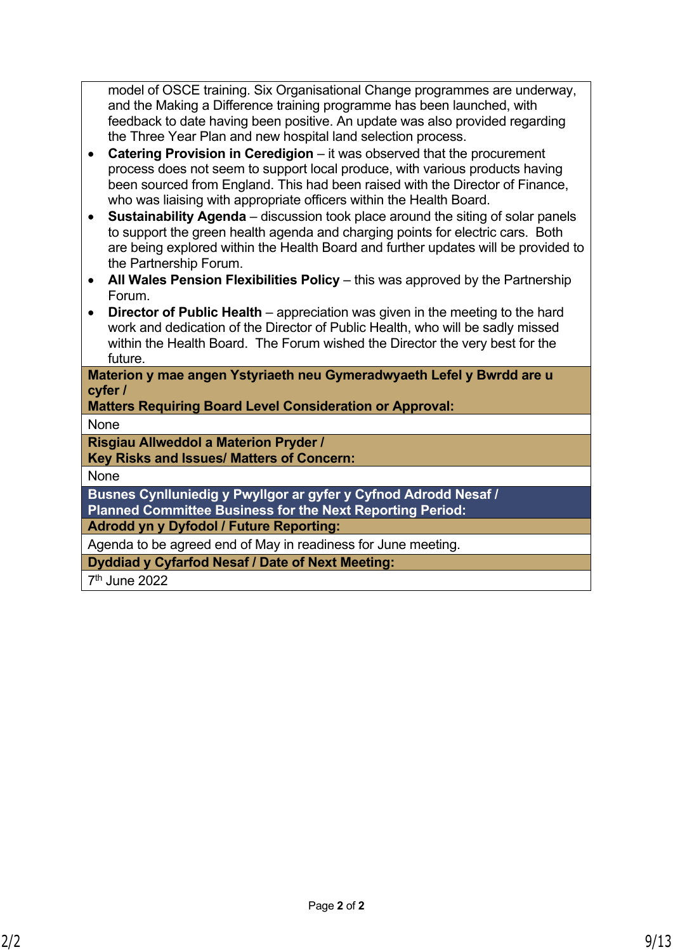model of OSCE training. Six Organisational Change programmes are underway, and the Making a Difference training programme has been launched, with feedback to date having been positive. An update was also provided regarding the Three Year Plan and new hospital land selection process.

- **Catering Provision in Ceredigion**  it was observed that the procurement process does not seem to support local produce, with various products having been sourced from England. This had been raised with the Director of Finance, who was liaising with appropriate officers within the Health Board.
- **Sustainability Agenda** discussion took place around the siting of solar panels to support the green health agenda and charging points for electric cars. Both are being explored within the Health Board and further updates will be provided to the Partnership Forum.
- All Wales Pension Flexibilities Policy this was approved by the Partnership Forum.
- **Director of Public Health** appreciation was given in the meeting to the hard work and dedication of the Director of Public Health, who will be sadly missed within the Health Board. The Forum wished the Director the very best for the future.

**Materion y mae angen Ystyriaeth neu Gymeradwyaeth Lefel y Bwrdd are u cyfer /**

**Matters Requiring Board Level Consideration or Approval:**

None

**Risgiau Allweddol a Materion Pryder /**

**Key Risks and Issues/ Matters of Concern:**

None

**Busnes Cynlluniedig y Pwyllgor ar gyfer y Cyfnod Adrodd Nesaf / Planned Committee Business for the Next Reporting Period:**

**Adrodd yn y Dyfodol / Future Reporting:**

Agenda to be agreed end of May in readiness for June meeting.

**Dyddiad y Cyfarfod Nesaf / Date of Next Meeting:**

7 th June 2022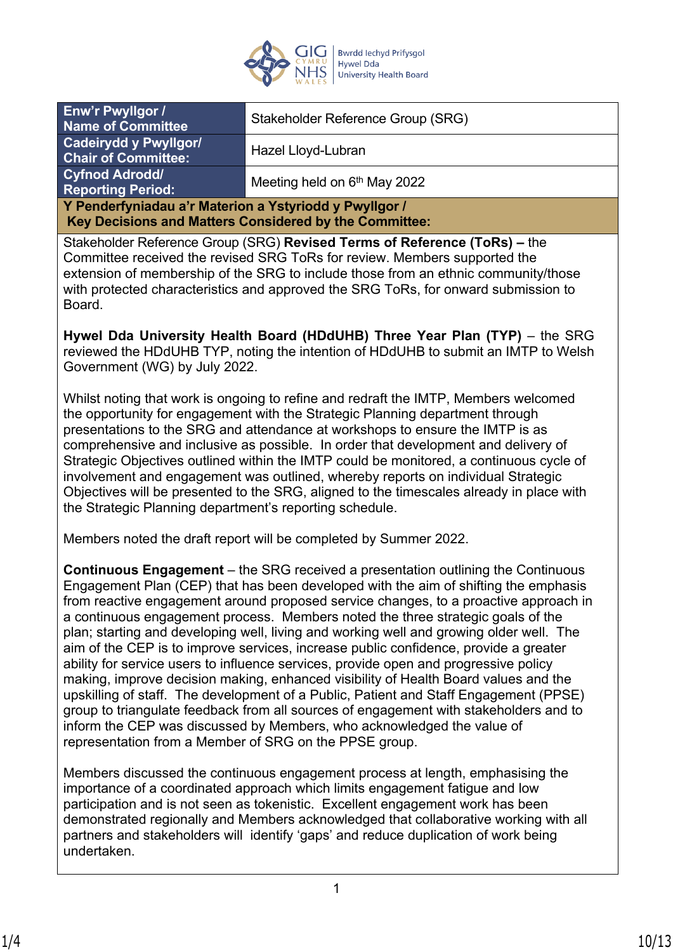

| Enw'r Pwyllgor /<br><b>Name of Committee</b>                                                                     | Stakeholder Reference Group (SRG)        |
|------------------------------------------------------------------------------------------------------------------|------------------------------------------|
| <b>Cadeirydd y Pwyllgor/</b><br><b>Chair of Committee:</b>                                                       | Hazel Lloyd-Lubran                       |
| <b>Cyfnod Adrodd/</b><br><b>Reporting Period:</b>                                                                | Meeting held on 6 <sup>th</sup> May 2022 |
| Y Penderfyniadau a'r Materion a Ystyriodd y Pwyllgor /<br>Key Decisions and Matters Considered by the Committee: |                                          |

Stakeholder Reference Group (SRG) **Revised Terms of Reference (ToRs) –** the Committee received the revised SRG ToRs for review. Members supported the extension of membership of the SRG to include those from an ethnic community/those with protected characteristics and approved the SRG ToRs, for onward submission to Board.

**Hywel Dda University Health Board (HDdUHB) Three Year Plan (TYP)** – the SRG reviewed the HDdUHB TYP, noting the intention of HDdUHB to submit an IMTP to Welsh Government (WG) by July 2022.

Whilst noting that work is ongoing to refine and redraft the IMTP, Members welcomed the opportunity for engagement with the Strategic Planning department through presentations to the SRG and attendance at workshops to ensure the IMTP is as comprehensive and inclusive as possible. In order that development and delivery of Strategic Objectives outlined within the IMTP could be monitored, a continuous cycle of involvement and engagement was outlined, whereby reports on individual Strategic Objectives will be presented to the SRG, aligned to the timescales already in place with the Strategic Planning department's reporting schedule.

Members noted the draft report will be completed by Summer 2022.

**Continuous Engagement** – the SRG received a presentation outlining the Continuous Engagement Plan (CEP) that has been developed with the aim of shifting the emphasis from reactive engagement around proposed service changes, to a proactive approach in a continuous engagement process. Members noted the three strategic goals of the plan; starting and developing well, living and working well and growing older well. The aim of the CEP is to improve services, increase public confidence, provide a greater ability for service users to influence services, provide open and progressive policy making, improve decision making, enhanced visibility of Health Board values and the upskilling of staff. The development of a Public, Patient and Staff Engagement (PPSE) group to triangulate feedback from all sources of engagement with stakeholders and to inform the CEP was discussed by Members, who acknowledged the value of representation from a Member of SRG on the PPSE group.

Members discussed the continuous engagement process at length, emphasising the importance of a coordinated approach which limits engagement fatigue and low participation and is not seen as tokenistic. Excellent engagement work has been demonstrated regionally and Members acknowledged that collaborative working with all partners and stakeholders will identify 'gaps' and reduce duplication of work being undertaken.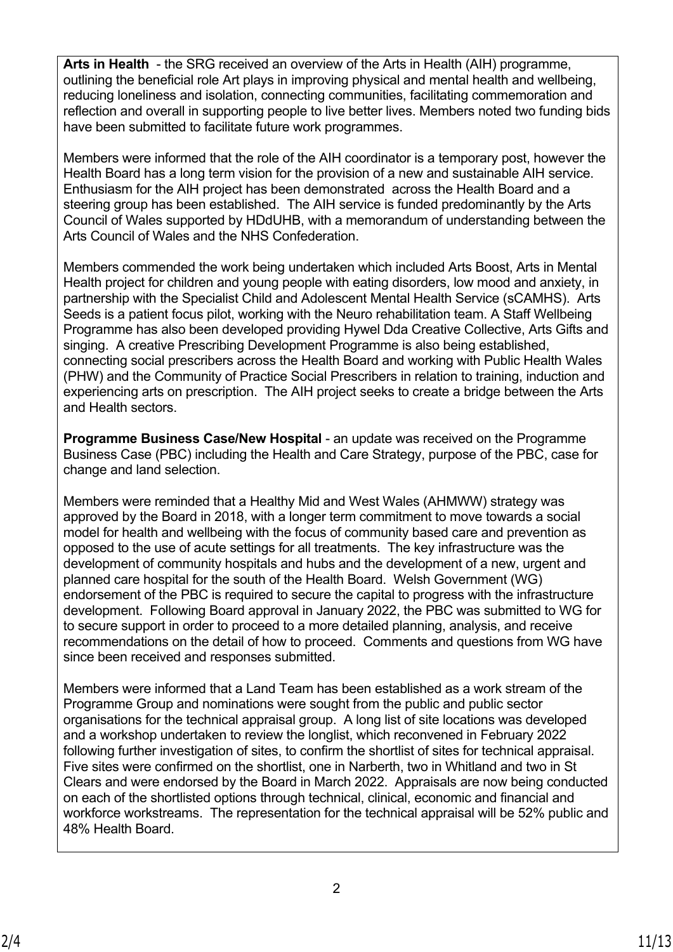**Arts in Health** - the SRG received an overview of the Arts in Health (AIH) programme, outlining the beneficial role Art plays in improving physical and mental health and wellbeing, reducing loneliness and isolation, connecting communities, facilitating commemoration and reflection and overall in supporting people to live better lives. Members noted two funding bids have been submitted to facilitate future work programmes.

Members were informed that the role of the AIH coordinator is a temporary post, however the Health Board has a long term vision for the provision of a new and sustainable AIH service. Enthusiasm for the AIH project has been demonstrated across the Health Board and a steering group has been established. The AIH service is funded predominantly by the Arts Council of Wales supported by HDdUHB, with a memorandum of understanding between the Arts Council of Wales and the NHS Confederation.

Members commended the work being undertaken which included Arts Boost, Arts in Mental Health project for children and young people with eating disorders, low mood and anxiety, in partnership with the Specialist Child and Adolescent Mental Health Service (sCAMHS). Arts Seeds is a patient focus pilot, working with the Neuro rehabilitation team. A Staff Wellbeing Programme has also been developed providing Hywel Dda Creative Collective, Arts Gifts and singing. A creative Prescribing Development Programme is also being established, connecting social prescribers across the Health Board and working with Public Health Wales (PHW) and the Community of Practice Social Prescribers in relation to training, induction and experiencing arts on prescription. The AIH project seeks to create a bridge between the Arts and Health sectors.

**Programme Business Case/New Hospital** - an update was received on the Programme Business Case (PBC) including the Health and Care Strategy, purpose of the PBC, case for change and land selection.

Members were reminded that a Healthy Mid and West Wales (AHMWW) strategy was approved by the Board in 2018, with a longer term commitment to move towards a social model for health and wellbeing with the focus of community based care and prevention as opposed to the use of acute settings for all treatments. The key infrastructure was the development of community hospitals and hubs and the development of a new, urgent and planned care hospital for the south of the Health Board. Welsh Government (WG) endorsement of the PBC is required to secure the capital to progress with the infrastructure development. Following Board approval in January 2022, the PBC was submitted to WG for to secure support in order to proceed to a more detailed planning, analysis, and receive recommendations on the detail of how to proceed. Comments and questions from WG have since been received and responses submitted.

Members were informed that a Land Team has been established as a work stream of the Programme Group and nominations were sought from the public and public sector organisations for the technical appraisal group. A long list of site locations was developed and a workshop undertaken to review the longlist, which reconvened in February 2022 following further investigation of sites, to confirm the shortlist of sites for technical appraisal. Five sites were confirmed on the shortlist, one in Narberth, two in Whitland and two in St Clears and were endorsed by the Board in March 2022. Appraisals are now being conducted on each of the shortlisted options through technical, clinical, economic and financial and workforce workstreams. The representation for the technical appraisal will be 52% public and 48% Health Board.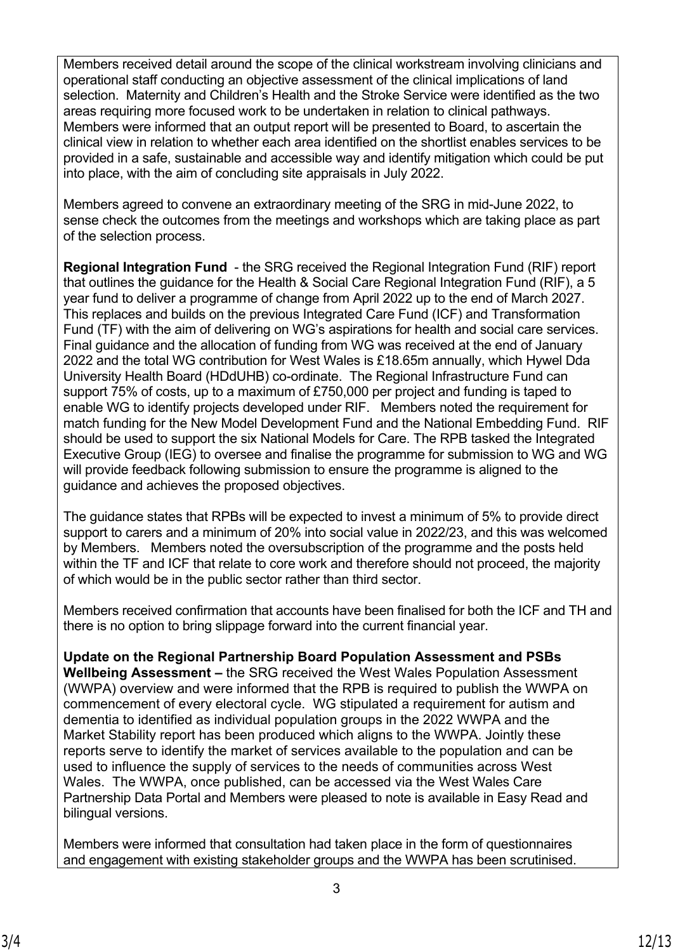Members received detail around the scope of the clinical workstream involving clinicians and operational staff conducting an objective assessment of the clinical implications of land selection. Maternity and Children's Health and the Stroke Service were identified as the two areas requiring more focused work to be undertaken in relation to clinical pathways. Members were informed that an output report will be presented to Board, to ascertain the clinical view in relation to whether each area identified on the shortlist enables services to be provided in a safe, sustainable and accessible way and identify mitigation which could be put into place, with the aim of concluding site appraisals in July 2022.

Members agreed to convene an extraordinary meeting of the SRG in mid-June 2022, to sense check the outcomes from the meetings and workshops which are taking place as part of the selection process.

**Regional Integration Fund** - the SRG received the Regional Integration Fund (RIF) report that outlines the guidance for the Health & Social Care Regional Integration Fund (RIF), a 5 year fund to deliver a programme of change from April 2022 up to the end of March 2027. This replaces and builds on the previous Integrated Care Fund (ICF) and Transformation Fund (TF) with the aim of delivering on WG's aspirations for health and social care services. Final guidance and the allocation of funding from WG was received at the end of January 2022 and the total WG contribution for West Wales is £18.65m annually, which Hywel Dda University Health Board (HDdUHB) co-ordinate. The Regional Infrastructure Fund can support 75% of costs, up to a maximum of £750,000 per project and funding is taped to enable WG to identify projects developed under RIF. Members noted the requirement for match funding for the New Model Development Fund and the National Embedding Fund. RIF should be used to support the six National Models for Care. The RPB tasked the Integrated Executive Group (IEG) to oversee and finalise the programme for submission to WG and WG will provide feedback following submission to ensure the programme is aligned to the guidance and achieves the proposed objectives.

The guidance states that RPBs will be expected to invest a minimum of 5% to provide direct support to carers and a minimum of 20% into social value in 2022/23, and this was welcomed by Members. Members noted the oversubscription of the programme and the posts held within the TF and ICF that relate to core work and therefore should not proceed, the majority of which would be in the public sector rather than third sector.

Members received confirmation that accounts have been finalised for both the ICF and TH and there is no option to bring slippage forward into the current financial year.

**Update on the Regional Partnership Board Population Assessment and PSBs Wellbeing Assessment –** the SRG received the West Wales Population Assessment (WWPA) overview and were informed that the RPB is required to publish the WWPA on commencement of every electoral cycle. WG stipulated a requirement for autism and dementia to identified as individual population groups in the 2022 WWPA and the Market Stability report has been produced which aligns to the WWPA. Jointly these reports serve to identify the market of services available to the population and can be used to influence the supply of services to the needs of communities across West Wales. The WWPA, once published, can be accessed via the West Wales Care Partnership Data Portal and Members were pleased to note is available in Easy Read and bilingual versions.

Members were informed that consultation had taken place in the form of questionnaires and engagement with existing stakeholder groups and the WWPA has been scrutinised.